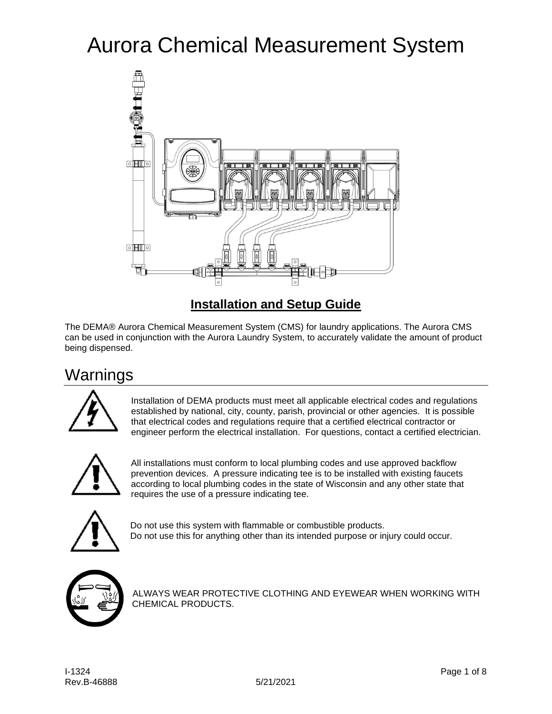# Aurora Chemical Measurement System



### **Installation and Setup Guide**

The DEMA® Aurora Chemical Measurement System (CMS) for laundry applications. The Aurora CMS can be used in conjunction with the Aurora Laundry System, to accurately validate the amount of product being dispensed.

## Warnings



Installation of DEMA products must meet all applicable electrical codes and regulations established by national, city, county, parish, provincial or other agencies. It is possible that electrical codes and regulations require that a certified electrical contractor or engineer perform the electrical installation. For questions, contact a certified electrician.



All installations must conform to local plumbing codes and use approved backflow prevention devices. A pressure indicating tee is to be installed with existing faucets according to local plumbing codes in the state of Wisconsin and any other state that requires the use of a pressure indicating tee.



Do not use this system with flammable or combustible products. Do not use this for anything other than its intended purpose or injury could occur.



ALWAYS WEAR PROTECTIVE CLOTHING AND EYEWEAR WHEN WORKING WITH CHEMICAL PRODUCTS.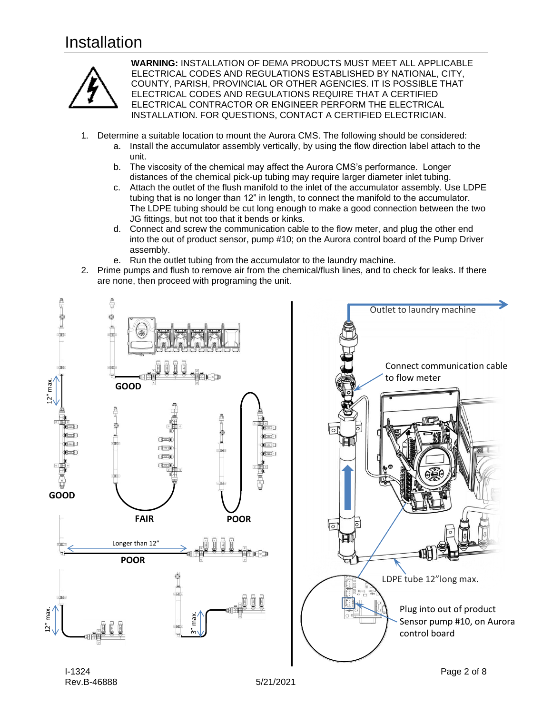## Installation



**WARNING:** INSTALLATION OF DEMA PRODUCTS MUST MEET ALL APPLICABLE ELECTRICAL CODES AND REGULATIONS ESTABLISHED BY NATIONAL, CITY, COUNTY, PARISH, PROVINCIAL OR OTHER AGENCIES. IT IS POSSIBLE THAT ELECTRICAL CODES AND REGULATIONS REQUIRE THAT A CERTIFIED ELECTRICAL CONTRACTOR OR ENGINEER PERFORM THE ELECTRICAL INSTALLATION. FOR QUESTIONS, CONTACT A CERTIFIED ELECTRICIAN.

- 1. Determine a suitable location to mount the Aurora CMS. The following should be considered:
	- a. Install the accumulator assembly vertically, by using the flow direction label attach to the unit.
	- b. The viscosity of the chemical may affect the Aurora CMS's performance. Longer distances of the chemical pick-up tubing may require larger diameter inlet tubing.
	- c. Attach the outlet of the flush manifold to the inlet of the accumulator assembly. Use LDPE tubing that is no longer than 12" in length, to connect the manifold to the accumulator. The LDPE tubing should be cut long enough to make a good connection between the two JG fittings, but not too that it bends or kinks.
	- d. Connect and screw the communication cable to the flow meter, and plug the other end into the out of product sensor, pump #10; on the Aurora control board of the Pump Driver assembly.
	- e. Run the outlet tubing from the accumulator to the laundry machine.
- 2. Prime pumps and flush to remove air from the chemical/flush lines, and to check for leaks. If there are none, then proceed with programing the unit.



Rev.B-46888 5/21/2021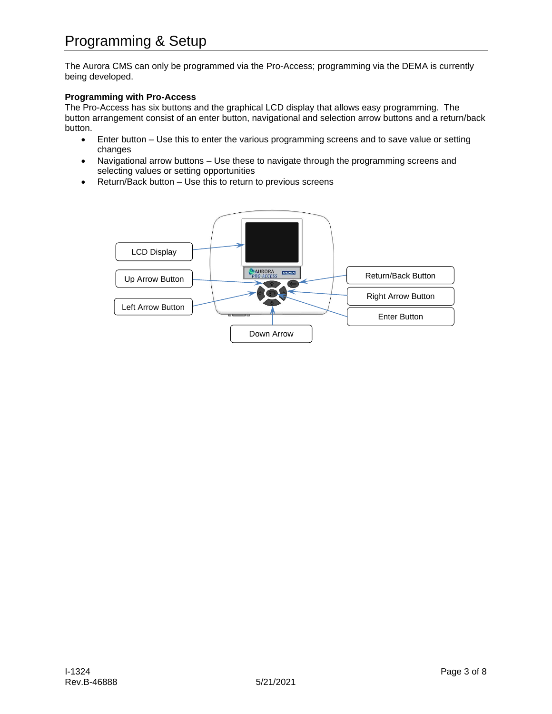The Aurora CMS can only be programmed via the Pro-Access; programming via the DEMA is currently being developed.

#### **Programming with Pro-Access**

The Pro-Access has six buttons and the graphical LCD display that allows easy programming. The button arrangement consist of an enter button, navigational and selection arrow buttons and a return/back button.

- Enter button Use this to enter the various programming screens and to save value or setting changes
- Navigational arrow buttons Use these to navigate through the programming screens and selecting values or setting opportunities
- Return/Back button Use this to return to previous screens

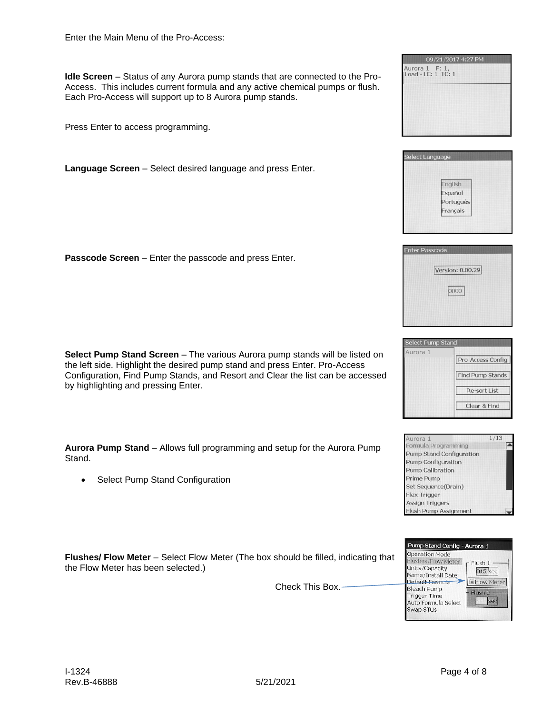**Idle Screen** – Status of any Aurora pump stands that are connected to the Pro-Access. This includes current formula and any active chemical pumps or flush. Each Pro-Access will support up to 8 Aurora pump stands.

Press Enter to access programming.

**Language Screen** – Select desired language and press Enter.

**Passcode Screen** – Enter the passcode and press Enter.

**Select Pump Stand Screen** – The various Aurora pump stands will be listed on the left side. Highlight the desired pump stand and press Enter. Pro-Access Configuration, Find Pump Stands, and Resort and Clear the list can be accessed by highlighting and pressing Enter.

**Aurora Pump Stand** – Allows full programming and setup for the Aurora Pump Stand.

• Select Pump Stand Configuration

**Flushes/ Flow Meter** – Select Flow Meter (The box should be filled, indicating that the Flow Meter has been selected.)

Check This Box.











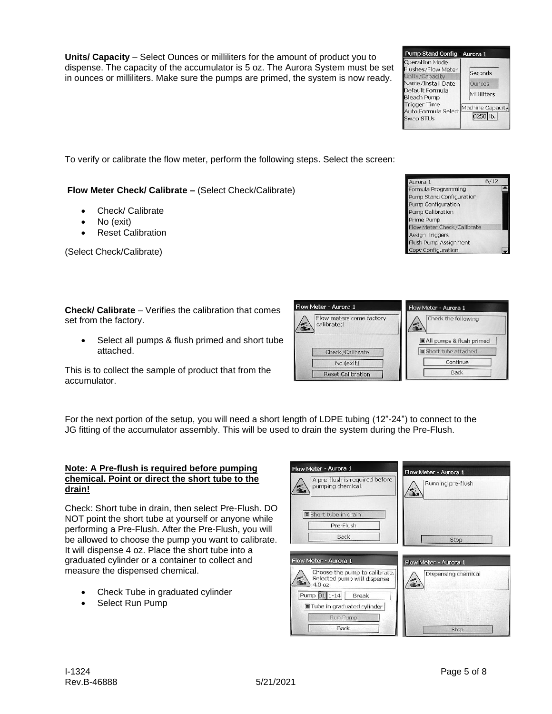**Units/ Capacity** – Select Ounces or milliliters for the amount of product you to dispense. The capacity of the accumulator is 5 oz. The Aurora System must be set in ounces or milliliters. Make sure the pumps are primed, the system is now ready.

To verify or calibrate the flow meter, perform the following steps. Select the screen:

**Flow Meter Check/ Calibrate –** (Select Check/Calibrate)

- Check/ Calibrate
- No (exit)
- Reset Calibration

(Select Check/Calibrate)

**Check/ Calibrate** – Verifies the calibration that comes set from the factory.

Select all pumps & flush primed and short tube attached.

This is to collect the sample of product that from the accumulator.

For the next portion of the setup, you will need a short length of LDPE tubing (12"-24") to connect to the JG fitting of the accumulator assembly. This will be used to drain the system during the Pre-Flush.

Flow Meter - Aurora 1

Flow Meter - Aurora 1

 $\sum_{4.0}^{\text{select}}$ 

A pre-flush is required before

Choose the pump to calibrate.

Selected pump will dispense

pumping chemical.

Short tube in drain Pre-Flush Back

 $\sqrt{\frac{Pump}{I}}$  01 1-14  $\sqrt{\frac{Pbr}{I}}$  Break ■ Tube in graduated cylinder Run Pump Back

#### **Note: A Pre-flush is required before pumping chemical. Point or direct the short tube to the drain!**

Check: Short tube in drain, then select Pre-Flush. DO NOT point the short tube at yourself or anyone while performing a Pre-Flush. After the Pre-Flush, you will be allowed to choose the pump you want to calibrate. It will dispense 4 oz. Place the short tube into a graduated cylinder or a container to collect and measure the dispensed chemical.

- Check Tube in graduated cylinder
- Select Run Pump



Flow Meter - Aurora 1

Flow Meter - Aurora 1

≨.

Running pre-flush

Stop

Dispensing chemical

Stop

Aurora 1

Formula Programming Pump Stand Configuration Pump Configuration Pump Calibration Prime Pump

Assign Triggers Flush Pump Assignment Copy Configuration

Flow Meter Check/Calibrate



 $6/12$ 

| Check/Calibrate          | Short tube attached |
|--------------------------|---------------------|
| No (exit)                | Continue            |
| <b>Reset Calibration</b> | <b>Back</b>         |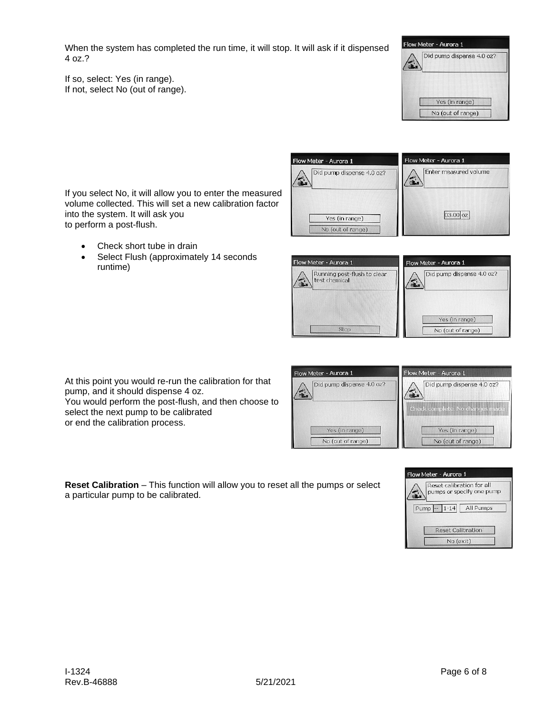When the system has completed the run time, it will stop. It will ask if it dispensed 4 oz.?

If so, select: Yes (in range). If not, select No (out of range).



If you select No, it will allow you to enter the measured volume collected. This will set a new calibration factor into the system. It will ask you to perform a post-flush.

- Check short tube in drain
- Select Flush (approximately 14 seconds runtime)





At this point you would re-run the calibration for that pump, and it should dispense 4 oz.

You would perform the post-flush, and then choose to select the next pump to be calibrated or end the calibration process.

| Flow Meter - Aurora 1     | Flow Meter - Aurora 1     |  |
|---------------------------|---------------------------|--|
| Did pump dispense 4.0 oz? | Did pump dispense 4.0 oz? |  |
|                           | Check complete. No chang  |  |
| Yes (in range)            | Yes (in range)            |  |
| No (out of range)         | No (out of range)         |  |

**Reset Calibration** – This function will allow you to reset all the pumps or select a particular pump to be calibrated.

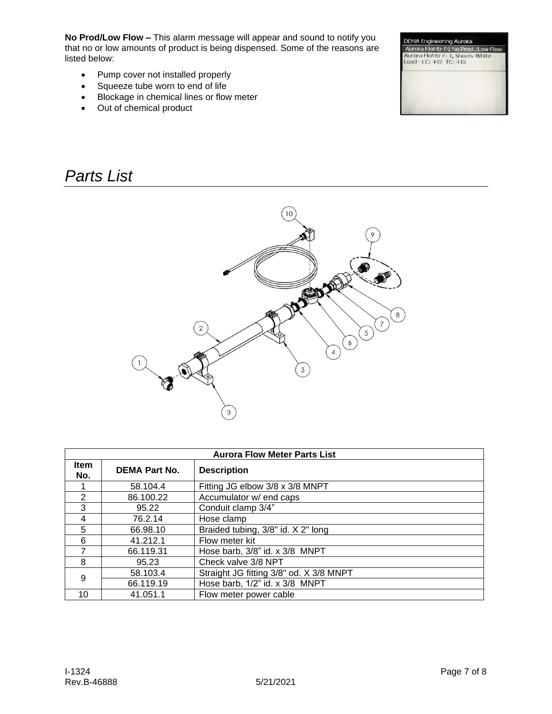**No Prod/Low Flow –** This alarm message will appear and sound to notify you that no or low amounts of product is being dispensed. Some of the reasons are listed below:

- Pump cover not installed properly
- Squeeze tube worn to end of life
- Blockage in chemical lines or flow meter
- Out of chemical product

### *Parts List*





| <b>Aurora Flow Meter Parts List</b> |                      |                                         |
|-------------------------------------|----------------------|-----------------------------------------|
| Item<br>No.                         | <b>DEMA Part No.</b> | <b>Description</b>                      |
|                                     | 58.104.4             | Fitting JG elbow 3/8 x 3/8 MNPT         |
| 2                                   | 86.100.22            | Accumulator w/ end caps                 |
| 3                                   | 95.22                | Conduit clamp 3/4"                      |
| 4                                   | 76.2.14              | Hose clamp                              |
| 5                                   | 66.98.10             | Braided tubing, 3/8" id. X 2" long      |
| 6                                   | 41.212.1             | Flow meter kit                          |
| $\overline{7}$                      | 66.119.31            | Hose barb, 3/8" id. x 3/8 MNPT          |
| 8                                   | 95.23                | Check valve 3/8 NPT                     |
| 9                                   | 58.103.4             | Straight JG fitting 3/8" od. X 3/8 MNPT |
|                                     | 66.119.19            | Hose barb, 1/2" id. x 3/8 MNPT          |
| 10                                  | 41.051.1             | Flow meter power cable                  |